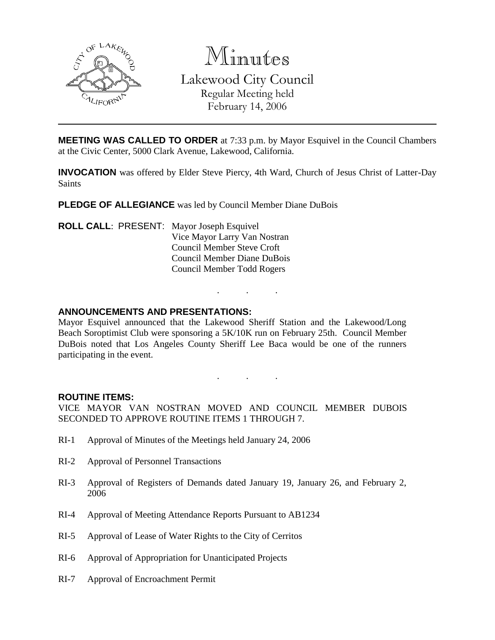

Minutes Lakewood City Council Regular Meeting held February 14, 2006

**MEETING WAS CALLED TO ORDER** at 7:33 p.m. by Mayor Esquivel in the Council Chambers at the Civic Center, 5000 Clark Avenue, Lakewood, California.

**INVOCATION** was offered by Elder Steve Piercy, 4th Ward, Church of Jesus Christ of Latter-Day Saints

**PLEDGE OF ALLEGIANCE** was led by Council Member Diane DuBois

**ROLL CALL**: PRESENT: Mayor Joseph Esquivel Vice Mayor Larry Van Nostran Council Member Steve Croft Council Member Diane DuBois Council Member Todd Rogers

## **ANNOUNCEMENTS AND PRESENTATIONS:**

Mayor Esquivel announced that the Lakewood Sheriff Station and the Lakewood/Long Beach Soroptimist Club were sponsoring a 5K/10K run on February 25th. Council Member DuBois noted that Los Angeles County Sheriff Lee Baca would be one of the runners participating in the event.

. . .

. . .

#### **ROUTINE ITEMS:**

VICE MAYOR VAN NOSTRAN MOVED AND COUNCIL MEMBER DUBOIS SECONDED TO APPROVE ROUTINE ITEMS 1 THROUGH 7.

- RI-1 Approval of Minutes of the Meetings held January 24, 2006
- RI-2 Approval of Personnel Transactions
- RI-3 Approval of Registers of Demands dated January 19, January 26, and February 2, 2006
- RI-4 Approval of Meeting Attendance Reports Pursuant to AB1234
- RI-5 Approval of Lease of Water Rights to the City of Cerritos
- RI-6 Approval of Appropriation for Unanticipated Projects
- RI-7 Approval of Encroachment Permit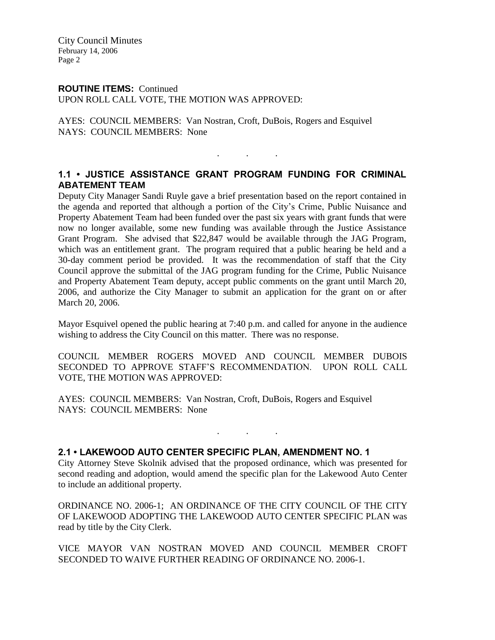City Council Minutes February 14, 2006 Page 2

# **ROUTINE ITEMS:** Continued

UPON ROLL CALL VOTE, THE MOTION WAS APPROVED:

AYES: COUNCIL MEMBERS: Van Nostran, Croft, DuBois, Rogers and Esquivel NAYS: COUNCIL MEMBERS: None

# **1.1 • JUSTICE ASSISTANCE GRANT PROGRAM FUNDING FOR CRIMINAL ABATEMENT TEAM**

. . .

Deputy City Manager Sandi Ruyle gave a brief presentation based on the report contained in the agenda and reported that although a portion of the City's Crime, Public Nuisance and Property Abatement Team had been funded over the past six years with grant funds that were now no longer available, some new funding was available through the Justice Assistance Grant Program. She advised that \$22,847 would be available through the JAG Program, which was an entitlement grant. The program required that a public hearing be held and a 30-day comment period be provided. It was the recommendation of staff that the City Council approve the submittal of the JAG program funding for the Crime, Public Nuisance and Property Abatement Team deputy, accept public comments on the grant until March 20, 2006, and authorize the City Manager to submit an application for the grant on or after March 20, 2006.

Mayor Esquivel opened the public hearing at 7:40 p.m. and called for anyone in the audience wishing to address the City Council on this matter. There was no response.

COUNCIL MEMBER ROGERS MOVED AND COUNCIL MEMBER DUBOIS SECONDED TO APPROVE STAFF'S RECOMMENDATION. UPON ROLL CALL VOTE, THE MOTION WAS APPROVED:

AYES: COUNCIL MEMBERS: Van Nostran, Croft, DuBois, Rogers and Esquivel NAYS: COUNCIL MEMBERS: None

#### **2.1 • LAKEWOOD AUTO CENTER SPECIFIC PLAN, AMENDMENT NO. 1**

City Attorney Steve Skolnik advised that the proposed ordinance, which was presented for second reading and adoption, would amend the specific plan for the Lakewood Auto Center to include an additional property.

. . .

ORDINANCE NO. 2006-1; AN ORDINANCE OF THE CITY COUNCIL OF THE CITY OF LAKEWOOD ADOPTING THE LAKEWOOD AUTO CENTER SPECIFIC PLAN was read by title by the City Clerk.

VICE MAYOR VAN NOSTRAN MOVED AND COUNCIL MEMBER CROFT SECONDED TO WAIVE FURTHER READING OF ORDINANCE NO. 2006-1.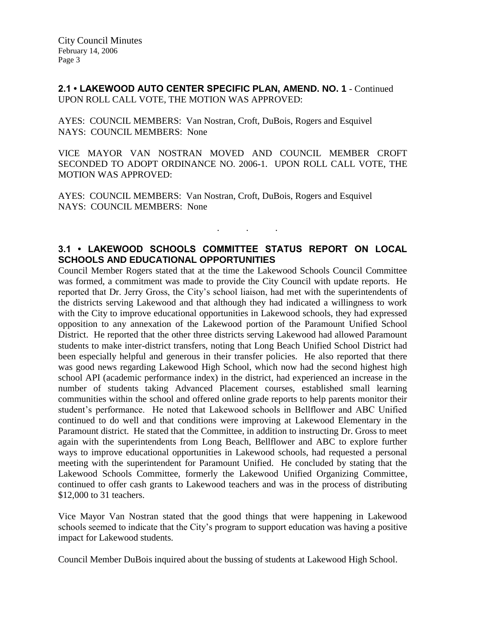**2.1 • LAKEWOOD AUTO CENTER SPECIFIC PLAN, AMEND. NO. 1** - Continued UPON ROLL CALL VOTE, THE MOTION WAS APPROVED:

AYES: COUNCIL MEMBERS: Van Nostran, Croft, DuBois, Rogers and Esquivel NAYS: COUNCIL MEMBERS: None

VICE MAYOR VAN NOSTRAN MOVED AND COUNCIL MEMBER CROFT SECONDED TO ADOPT ORDINANCE NO. 2006-1. UPON ROLL CALL VOTE, THE MOTION WAS APPROVED:

AYES: COUNCIL MEMBERS: Van Nostran, Croft, DuBois, Rogers and Esquivel NAYS: COUNCIL MEMBERS: None

# **3.1 • LAKEWOOD SCHOOLS COMMITTEE STATUS REPORT ON LOCAL SCHOOLS AND EDUCATIONAL OPPORTUNITIES**

. . .

Council Member Rogers stated that at the time the Lakewood Schools Council Committee was formed, a commitment was made to provide the City Council with update reports. He reported that Dr. Jerry Gross, the City's school liaison, had met with the superintendents of the districts serving Lakewood and that although they had indicated a willingness to work with the City to improve educational opportunities in Lakewood schools, they had expressed opposition to any annexation of the Lakewood portion of the Paramount Unified School District. He reported that the other three districts serving Lakewood had allowed Paramount students to make inter-district transfers, noting that Long Beach Unified School District had been especially helpful and generous in their transfer policies. He also reported that there was good news regarding Lakewood High School, which now had the second highest high school API (academic performance index) in the district, had experienced an increase in the number of students taking Advanced Placement courses, established small learning communities within the school and offered online grade reports to help parents monitor their student's performance. He noted that Lakewood schools in Bellflower and ABC Unified continued to do well and that conditions were improving at Lakewood Elementary in the Paramount district. He stated that the Committee, in addition to instructing Dr. Gross to meet again with the superintendents from Long Beach, Bellflower and ABC to explore further ways to improve educational opportunities in Lakewood schools, had requested a personal meeting with the superintendent for Paramount Unified. He concluded by stating that the Lakewood Schools Committee, formerly the Lakewood Unified Organizing Committee, continued to offer cash grants to Lakewood teachers and was in the process of distributing \$12,000 to 31 teachers.

Vice Mayor Van Nostran stated that the good things that were happening in Lakewood schools seemed to indicate that the City's program to support education was having a positive impact for Lakewood students.

Council Member DuBois inquired about the bussing of students at Lakewood High School.